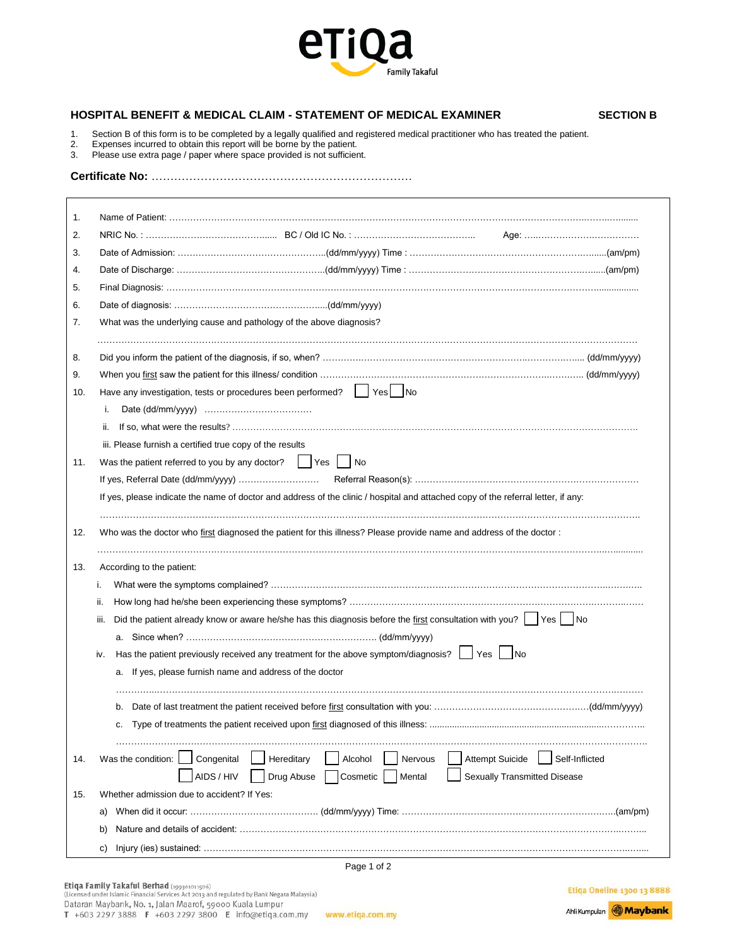

## **HOSPITAL BENEFIT & MEDICAL CLAIM - STATEMENT OF MEDICAL EXAMINER SECTION B**

- 1. Section B of this form is to be completed by a legally qualified and registered medical practitioner who has treated the patient.<br>2. Expenses incurred to obtain this report will be borne by the patient.
- 2. Expenses incurred to obtain this report will be borne by the patient.
- 3. Please use extra page / paper where space provided is not sufficient.

**Certificate No:** ……………………………………………………………

| 1.                                                                                                                                   |                                                                                                                     |  |  |  |  |
|--------------------------------------------------------------------------------------------------------------------------------------|---------------------------------------------------------------------------------------------------------------------|--|--|--|--|
| 2.                                                                                                                                   |                                                                                                                     |  |  |  |  |
| 3.                                                                                                                                   |                                                                                                                     |  |  |  |  |
| 4.                                                                                                                                   |                                                                                                                     |  |  |  |  |
| 5.                                                                                                                                   |                                                                                                                     |  |  |  |  |
| 6.                                                                                                                                   |                                                                                                                     |  |  |  |  |
| 7.                                                                                                                                   | What was the underlying cause and pathology of the above diagnosis?                                                 |  |  |  |  |
| 8.                                                                                                                                   |                                                                                                                     |  |  |  |  |
| 9.                                                                                                                                   |                                                                                                                     |  |  |  |  |
| 10.                                                                                                                                  | Have any investigation, tests or procedures been performed?   Yes   No                                              |  |  |  |  |
|                                                                                                                                      | i.                                                                                                                  |  |  |  |  |
|                                                                                                                                      | ii.                                                                                                                 |  |  |  |  |
|                                                                                                                                      | iii. Please furnish a certified true copy of the results                                                            |  |  |  |  |
| 11.                                                                                                                                  | Was the patient referred to you by any doctor? $ $ $ $ Yes $ $ $ $ No                                               |  |  |  |  |
|                                                                                                                                      |                                                                                                                     |  |  |  |  |
| If yes, please indicate the name of doctor and address of the clinic / hospital and attached copy of the referral letter, if any:    |                                                                                                                     |  |  |  |  |
| 12.                                                                                                                                  | Who was the doctor who first diagnosed the patient for this illness? Please provide name and address of the doctor: |  |  |  |  |
| 13.                                                                                                                                  | According to the patient:                                                                                           |  |  |  |  |
|                                                                                                                                      | i.<br>ii.                                                                                                           |  |  |  |  |
|                                                                                                                                      |                                                                                                                     |  |  |  |  |
| Did the patient already know or aware he/she has this diagnosis before the first consultation with you? $\vert$ Yes $\vert$ No<br>m. |                                                                                                                     |  |  |  |  |
|                                                                                                                                      |                                                                                                                     |  |  |  |  |
|                                                                                                                                      | Has the patient previously received any treatment for the above symptom/diagnosis? $\Box$ Yes $\Box$ No<br>iv.      |  |  |  |  |
|                                                                                                                                      | a. If yes, please furnish name and address of the doctor                                                            |  |  |  |  |
|                                                                                                                                      | b.                                                                                                                  |  |  |  |  |
|                                                                                                                                      | c.                                                                                                                  |  |  |  |  |
| 14.                                                                                                                                  | Was the condition:<br>Congenital<br>Hereditary<br>Alcohol<br><b>Attempt Suicide</b><br>Self-Inflicted<br>Nervous    |  |  |  |  |
|                                                                                                                                      | AIDS / HIV<br>Drug Abuse<br>Mental<br><b>Sexually Transmitted Disease</b><br>Cosmetic                               |  |  |  |  |
| 15.                                                                                                                                  | Whether admission due to accident? If Yes:                                                                          |  |  |  |  |
|                                                                                                                                      | a)                                                                                                                  |  |  |  |  |
|                                                                                                                                      | b)                                                                                                                  |  |  |  |  |
|                                                                                                                                      | c)                                                                                                                  |  |  |  |  |
|                                                                                                                                      | Page 1 of 2                                                                                                         |  |  |  |  |

**Etiqa Oneline 1300 13 8888**